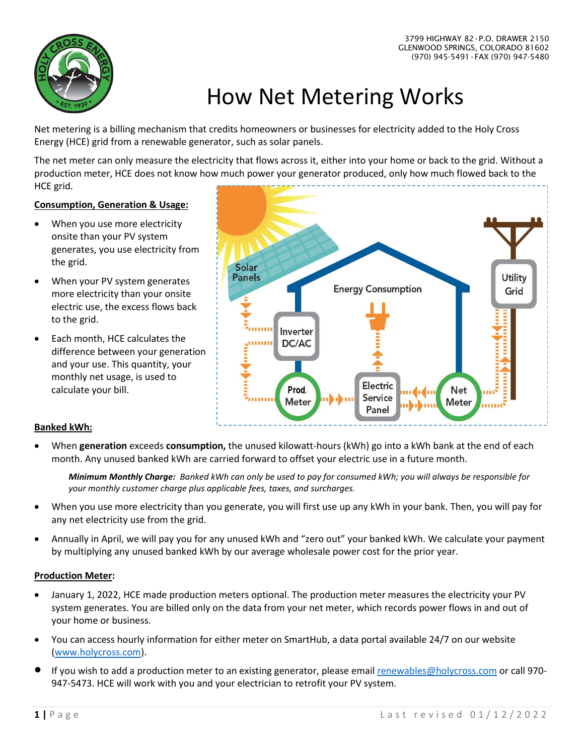

# How Net Metering Works

Net metering is a billing mechanism that credits homeowners or businesses for electricity added to the Holy Cross Energy (HCE) grid from a renewable generator, such as solar panels.

The net meter can only measure the electricity that flows across it, either into your home or back to the grid. Without a production meter, HCE does not know how much power your generator produced, only how much flowed back to the HCE grid.

#### **Consumption, Generation & Usage:**

- When you use more electricity onsite than your PV system generates, you use electricity from the grid.
- When your PV system generates more electricity than your onsite electric use, the excess flows back to the grid.
- Each month, HCE calculates the difference between your generation and your use. This quantity, your monthly net usage, is used to calculate your bill.



### **Banked kWh:**

• When **generation** exceeds **consumption,** the unused kilowatt-hours (kWh) go into a kWh bank at the end of each month. Any unused banked kWh are carried forward to offset your electric use in a future month.

*Minimum Monthly Charge: Banked kWh can only be used to pay for consumed kWh; you will always be responsible for your monthly customer charge plus applicable fees, taxes, and surcharges.*

- When you use more electricity than you generate, you will first use up any kWh in your bank. Then, you will pay for any net electricity use from the grid.
- Annually in April, we will pay you for any unused kWh and "zero out" your banked kWh. We calculate your payment by multiplying any unused banked kWh by our average wholesale power cost for the prior year.

#### **Production Meter:**

- January 1, 2022, HCE made production meters optional. The production meter measures the electricity your PV system generates. You are billed only on the data from your net meter, which records power flows in and out of your home or business.
- You can access hourly information for either meter on SmartHub, a data portal available 24/7 on our website [\(www.holycross.com\)](http://www.holycross.com/).
- If you wish to add a production meter to an existing generator, please emai[l renewables@holycross.com](mailto:renewables@holycross.com) or call 970-947-5473. HCE will work with you and your electrician to retrofit your PV system.